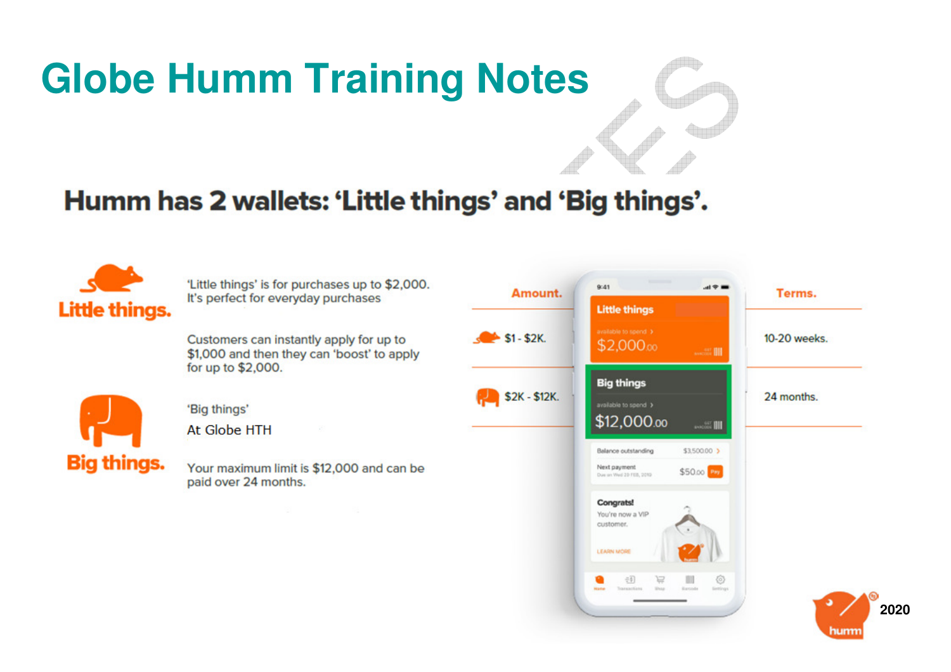### **Globe Humm Training Notes**

### Humm has 2 wallets: 'Little things' and 'Big things'.

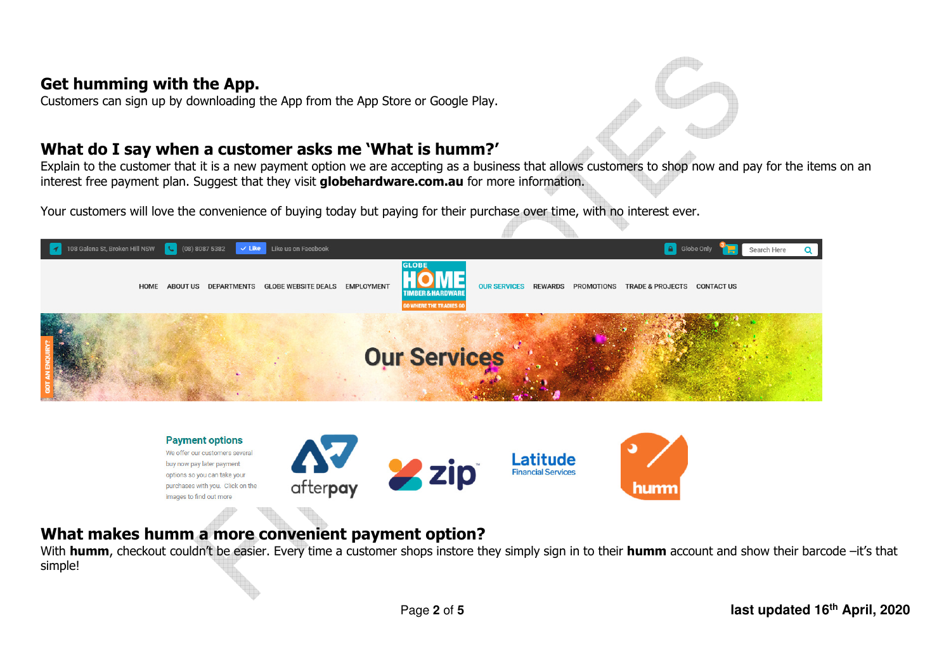### **Get humming with the App.**

Customers can sign up by downloading the App from the App Store or Google Play.

#### **What do I say when a customer asks me 'What is humm?'**

 Explain to the customer that it is a new payment option we are accepting as a business that allows customers to shop now and pay for the items on an interest free payment plan. Suggest that they visit **globehardware.com.au** for more information.

Your customers will love the convenience of buying today but paying for their purchase over time, with no interest ever.



### **What makes humm a more convenient payment option?**

 With **humm**, checkout couldn't be easier. Every time a customer shops instore they simply sign in to their **humm** account and show their barcode –it's that simple!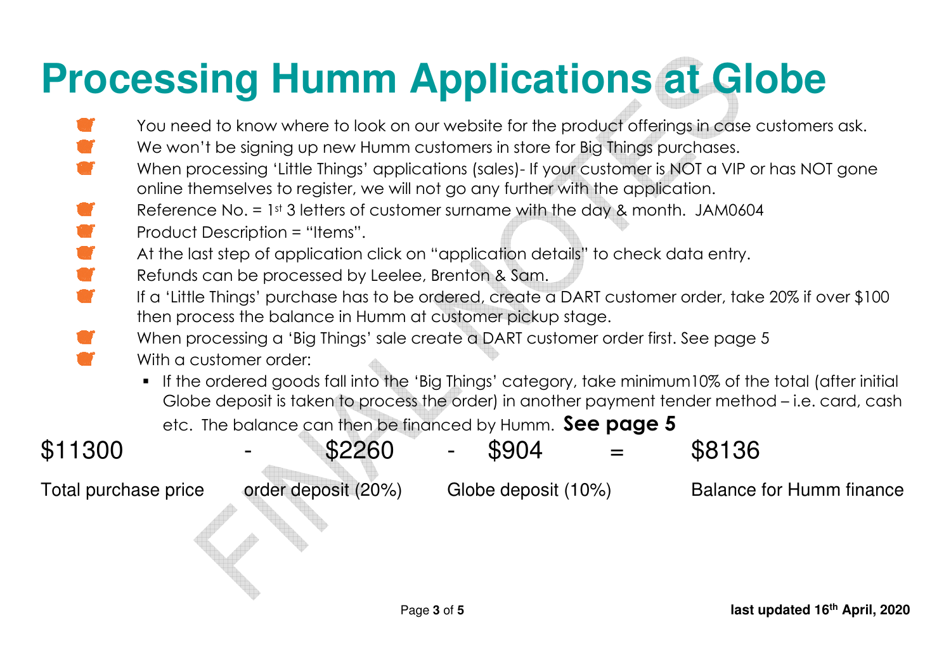# **Processing Humm Applications at Globe**

- You need to know where to look on our website for the product offerings in case customers ask.
- We won't be signing up new Humm customers in store for Big Things purchases.
- When processing 'Little Things' applications (sales)- If your customer is NOT a VIP or has NOT gone online themselves to register, we will not go any further with the application.
- Reference No. = 1st 3 letters of customer surname with the day & month. JAM0604
- Product Description = "Items".
	- At the last step of application click on "application details" to check data entry.
- Refunds can be processed by Leelee, Brenton & Sam.
- If a 'Little Things' purchase has to be ordered, create a DART customer order, take 20% if over \$100 then process the balance in Humm at customer pickup stage.
	- When processing a 'Big Things' sale create a DART customer order first. See page 5
	- With a customer order:
		- $\;\blacksquare\;$  If the ordered goods fall into the 'Big Things' category, take minimum10% of the total (after initial Globe deposit is taken to process the order) in another payment tender method – i.e. card, cash etc. The balance can then be financed by Humm. **See page 5**

| \$11300 | \$2260 | \$904 | \$8136 |
|---------|--------|-------|--------|
|         |        |       |        |

Total purchase price order deposit (20%) Globe deposit (10%) Balance for Humm finance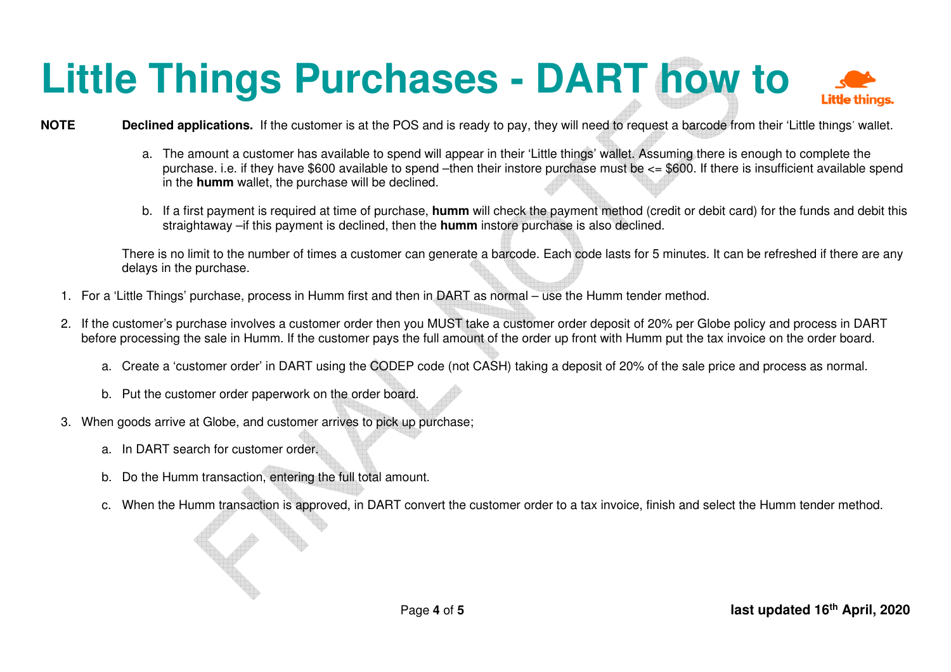## **Little Things Purchases - DART how to**

#### **NOTE Declined applications.** If the customer is at the POS and is ready to pay, they will need to request a barcode from their 'Little things' wallet.

- a. The amount a customer has available to spend will appear in their 'Little things' wallet. Assuming there is enough to complete the purchase. i.e. if they have \$600 available to spend –then their instore purchase must be <= \$600. If there is insufficient available spend in the **humm** wallet, the purchase will be declined.
- b. If a first payment is required at time of purchase, **humm** will check the payment method (credit or debit card) for the funds and debit this straightaway –if this payment is declined, then the **humm** instore purchase is also declined.

There is no limit to the number of times a customer can generate a barcode. Each code lasts for 5 minutes. It can be refreshed if there are any delays in the purchase.

- 1. For a 'Little Things' purchase, process in Humm first and then in DART as normal use the Humm tender method.
- 2. If the customer's purchase involves a customer order then you MUST take a customer order deposit of 20% per Globe policy and process in DART before processing the sale in Humm. If the customer pays the full amount of the order up front with Humm put the tax invoice on the order board.
	- a. Create a 'customer order' in DART using the CODEP code (not CASH) taking a deposit of 20% of the sale price and process as normal.
	- b. Put the customer order paperwork on the order board.
- 3. When goods arrive at Globe, and customer arrives to pick up purchase;
	- a. In DART search for customer order.
	- b. Do the Humm transaction, entering the full total amount.
	- c. When the Humm transaction is approved, in DART convert the customer order to a tax invoice, finish and select the Humm tender method.